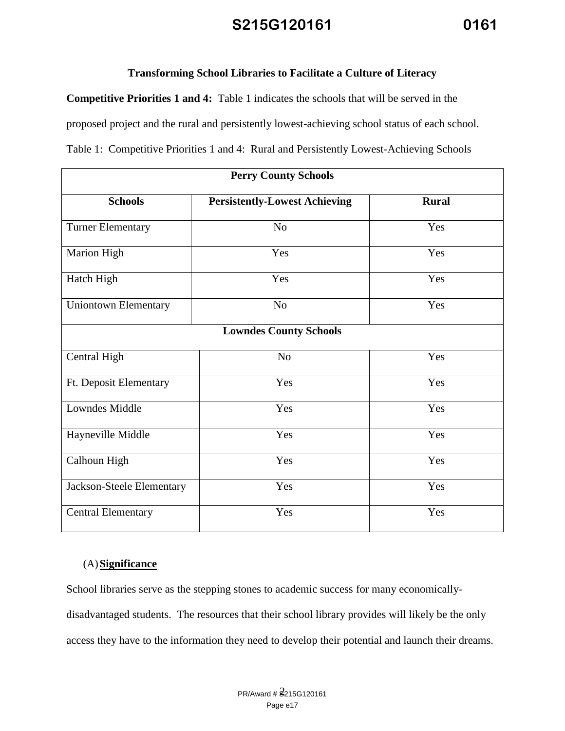#### **Transforming School Libraries to Facilitate a Culture of Literacy**

**Competitive Priorities 1 and 4:** Table 1 indicates the schools that will be served in the proposed project and the rural and persistently lowest-achieving school status of each school. Table 1: Competitive Priorities 1 and 4: Rural and Persistently Lowest-Achieving Schools

| <b>Perry County Schools</b> |                                      |              |  |
|-----------------------------|--------------------------------------|--------------|--|
| <b>Schools</b>              | <b>Persistently-Lowest Achieving</b> | <b>Rural</b> |  |
| <b>Turner Elementary</b>    | N <sub>o</sub>                       | Yes          |  |
| <b>Marion High</b>          | Yes                                  | Yes          |  |
| Hatch High                  | Yes                                  | Yes          |  |
| <b>Uniontown Elementary</b> | No                                   | Yes          |  |
|                             | <b>Lowndes County Schools</b>        |              |  |
| Central High                | N <sub>o</sub>                       | Yes          |  |
| Ft. Deposit Elementary      | Yes                                  | Yes          |  |
| <b>Lowndes Middle</b>       | Yes                                  | Yes          |  |
| Hayneville Middle           | Yes                                  | Yes          |  |
| Calhoun High                | Yes                                  | Yes          |  |
| Jackson-Steele Elementary   | Yes                                  | Yes          |  |
| <b>Central Elementary</b>   | Yes                                  | Yes          |  |

#### (A)**Significance**

School libraries serve as the stepping stones to academic success for many economicallydisadvantaged students. The resources that their school library provides will likely be the only access they have to the information they need to develop their potential and launch their dreams.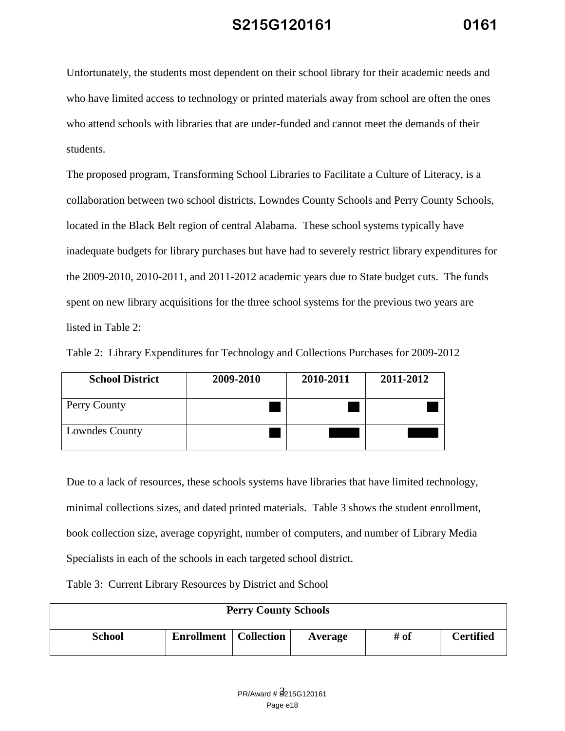Unfortunately, the students most dependent on their school library for their academic needs and who have limited access to technology or printed materials away from school are often the ones who attend schools with libraries that are under-funded and cannot meet the demands of their students.

The proposed program, Transforming School Libraries to Facilitate a Culture of Literacy, is a collaboration between two school districts, Lowndes County Schools and Perry County Schools, located in the Black Belt region of central Alabama. These school systems typically have inadequate budgets for library purchases but have had to severely restrict library expenditures for the 2009-2010, 2010-2011, and 2011-2012 academic years due to State budget cuts. The funds spent on new library acquisitions for the three school systems for the previous two years are listed in Table 2:

| <b>School District</b> | 2009-2010 | 2010-2011 | 2011-2012 |
|------------------------|-----------|-----------|-----------|
| <b>Perry County</b>    |           |           |           |
| <b>Lowndes County</b>  |           |           |           |

Table 2: Library Expenditures for Technology and Collections Purchases for 2009-2012

Due to a lack of resources, these schools systems have libraries that have limited technology, minimal collections sizes, and dated printed materials. Table 3 shows the student enrollment, book collection size, average copyright, number of computers, and number of Library Media Specialists in each of the schools in each targeted school district.

Table 3: Current Library Resources by District and School

| <b>Perry County Schools</b> |                                |  |         |      |                  |
|-----------------------------|--------------------------------|--|---------|------|------------------|
| <b>School</b>               | <b>Enrollment</b>   Collection |  | Average | # of | <b>Certified</b> |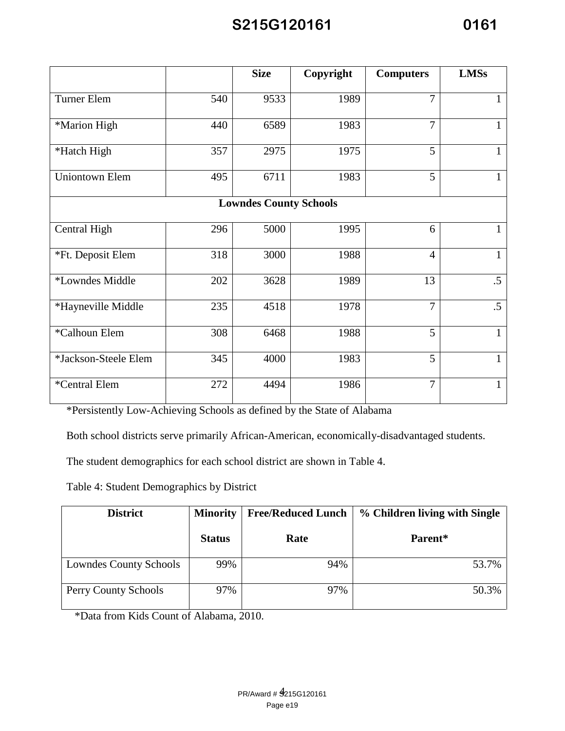|                       |     | <b>Size</b>                   | Copyright | <b>Computers</b> | <b>LMSs</b>  |
|-----------------------|-----|-------------------------------|-----------|------------------|--------------|
| Turner Elem           | 540 | 9533                          | 1989      | $\overline{7}$   |              |
| *Marion High          | 440 | 6589                          | 1983      | $\overline{7}$   |              |
| *Hatch High           | 357 | 2975                          | 1975      | 5                | 1            |
| <b>Uniontown Elem</b> | 495 | 6711                          | 1983      | $\overline{5}$   |              |
|                       |     | <b>Lowndes County Schools</b> |           |                  |              |
| Central High          | 296 | 5000                          | 1995      | 6                | 1            |
| *Ft. Deposit Elem     | 318 | 3000                          | 1988      | $\overline{4}$   | $\mathbf{1}$ |
| *Lowndes Middle       | 202 | 3628                          | 1989      | 13               | $.5\,$       |
| *Hayneville Middle    | 235 | 4518                          | 1978      | $\overline{7}$   | $.5\,$       |
| *Calhoun Elem         | 308 | 6468                          | 1988      | 5                | 1            |
| *Jackson-Steele Elem  | 345 | 4000                          | 1983      | 5                | 1            |
| *Central Elem         | 272 | 4494                          | 1986      | $\overline{7}$   |              |

\*Persistently Low-Achieving Schools as defined by the State of Alabama

Both school districts serve primarily African-American, economically-disadvantaged students.

The student demographics for each school district are shown in Table 4.

Table 4: Student Demographics by District

| <b>District</b>        | <b>Minority</b> | <b>Free/Reduced Lunch</b> | % Children living with Single |  |
|------------------------|-----------------|---------------------------|-------------------------------|--|
|                        | <b>Status</b>   | Rate                      | Parent*                       |  |
| Lowndes County Schools | 99%             | 94%                       | 53.7%                         |  |
| Perry County Schools   | 97%             | 97%                       | 50.3%                         |  |

\*Data from Kids Count of Alabama, 2010.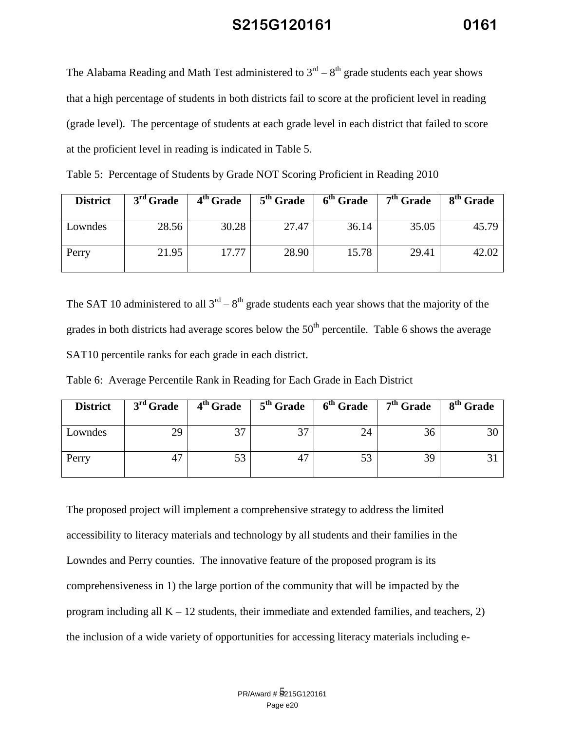The Alabama Reading and Math Test administered to  $3^{rd} - 8^{th}$  grade students each year shows that a high percentage of students in both districts fail to score at the proficient level in reading (grade level). The percentage of students at each grade level in each district that failed to score at the proficient level in reading is indicated in Table 5.

| <b>District</b> | $3rd$ Grade | 4 <sup>th</sup> Grade | $5th$ Grade | 6 <sup>th</sup> Grade | 7 <sup>th</sup> Grade | 8 <sup>th</sup> Grade |
|-----------------|-------------|-----------------------|-------------|-----------------------|-----------------------|-----------------------|
| Lowndes         | 28.56       | 30.28                 | 27.47       | 36.14                 | 35.05                 | 45.79                 |
| Perry           | 21.95       | 17.77                 | 28.90       | 15.78                 | 29.41                 | 42.02                 |

Table 5: Percentage of Students by Grade NOT Scoring Proficient in Reading 2010

The SAT 10 administered to all  $3<sup>rd</sup> - 8<sup>th</sup>$  grade students each year shows that the majority of the grades in both districts had average scores below the  $50<sup>th</sup>$  percentile. Table 6 shows the average SAT10 percentile ranks for each grade in each district.

Table 6: Average Percentile Rank in Reading for Each Grade in Each District

| <b>District</b> | $3rd$ Grade |    |                          | $4th$ Grade $5th$ Grade $6th$ Grade $7th$ Grade |    | 8 <sup>th</sup> Grade |
|-----------------|-------------|----|--------------------------|-------------------------------------------------|----|-----------------------|
| Lowndes         | 29          | っっ | $\overline{\phantom{a}}$ |                                                 | эt |                       |
| Perry           |             |    |                          |                                                 | 39 |                       |

The proposed project will implement a comprehensive strategy to address the limited accessibility to literacy materials and technology by all students and their families in the Lowndes and Perry counties. The innovative feature of the proposed program is its comprehensiveness in 1) the large portion of the community that will be impacted by the program including all  $K - 12$  students, their immediate and extended families, and teachers, 2) the inclusion of a wide variety of opportunities for accessing literacy materials including e-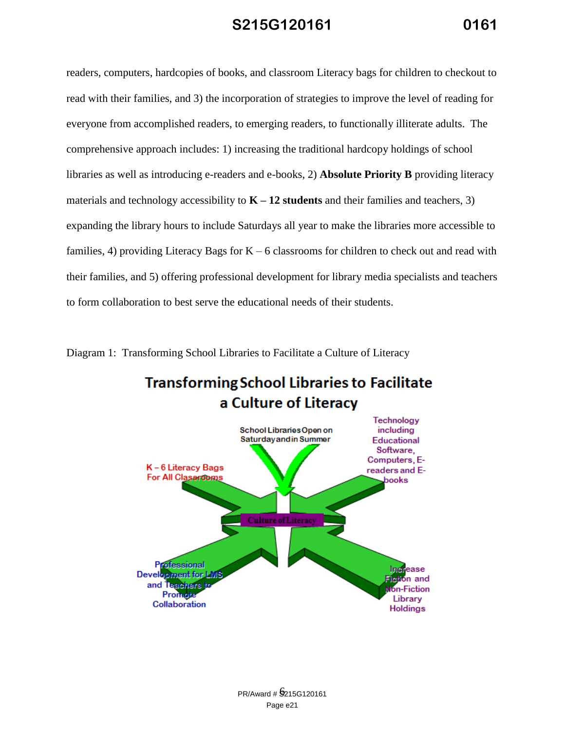readers, computers, hardcopies of books, and classroom Literacy bags for children to checkout to read with their families, and 3) the incorporation of strategies to improve the level of reading for everyone from accomplished readers, to emerging readers, to functionally illiterate adults. The comprehensive approach includes: 1) increasing the traditional hardcopy holdings of school libraries as well as introducing e-readers and e-books, 2) **Absolute Priority B** providing literacy materials and technology accessibility to  $K - 12$  students and their families and teachers, 3) expanding the library hours to include Saturdays all year to make the libraries more accessible to families, 4) providing Literacy Bags for  $K - 6$  classrooms for children to check out and read with their families, and 5) offering professional development for library media specialists and teachers to form collaboration to best serve the educational needs of their students.

Diagram 1: Transforming School Libraries to Facilitate a Culture of Literacy

# **Transforming School Libraries to Facilitate** a Culture of Literacy

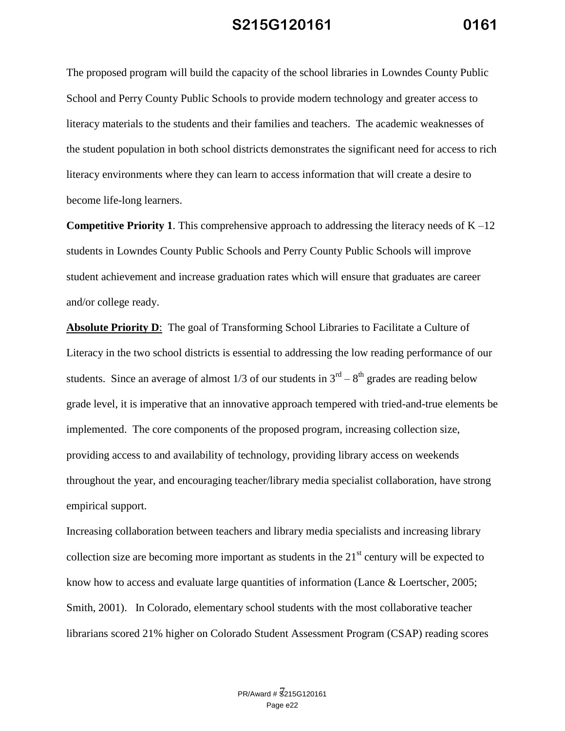The proposed program will build the capacity of the school libraries in Lowndes County Public School and Perry County Public Schools to provide modern technology and greater access to literacy materials to the students and their families and teachers. The academic weaknesses of the student population in both school districts demonstrates the significant need for access to rich literacy environments where they can learn to access information that will create a desire to become life-long learners.

**Competitive Priority 1.** This comprehensive approach to addressing the literacy needs of  $K - 12$ students in Lowndes County Public Schools and Perry County Public Schools will improve student achievement and increase graduation rates which will ensure that graduates are career and/or college ready.

**Absolute Priority D**: The goal of Transforming School Libraries to Facilitate a Culture of Literacy in the two school districts is essential to addressing the low reading performance of our students. Since an average of almost 1/3 of our students in  $3<sup>rd</sup> - 8<sup>th</sup>$  grades are reading below grade level, it is imperative that an innovative approach tempered with tried-and-true elements be implemented. The core components of the proposed program, increasing collection size, providing access to and availability of technology, providing library access on weekends throughout the year, and encouraging teacher/library media specialist collaboration, have strong empirical support.

Increasing collaboration between teachers and library media specialists and increasing library collection size are becoming more important as students in the  $21<sup>st</sup>$  century will be expected to know how to access and evaluate large quantities of information (Lance & Loertscher, 2005; Smith, 2001). In Colorado, elementary school students with the most collaborative teacher librarians scored 21% higher on Colorado Student Assessment Program (CSAP) reading scores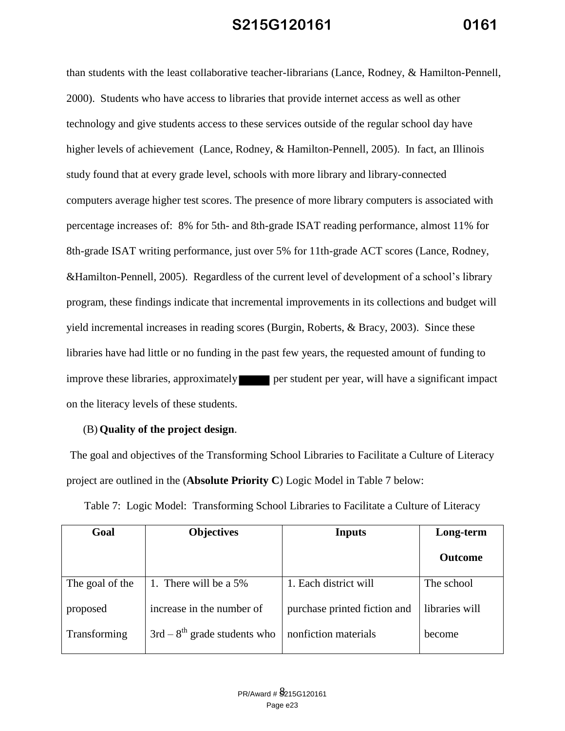than students with the least collaborative teacher-librarians (Lance, Rodney, & Hamilton-Pennell, 2000). Students who have access to libraries that provide internet access as well as other technology and give students access to these services outside of the regular school day have higher levels of achievement (Lance, Rodney, & Hamilton-Pennell, 2005). In fact, an Illinois study found that at every grade level, schools with more library and library-connected computers average higher test scores. The presence of more library computers is associated with percentage increases of: 8% for 5th- and 8th-grade ISAT reading performance, almost 11% for 8th-grade ISAT writing performance, just over 5% for 11th-grade ACT scores (Lance, Rodney, &Hamilton-Pennell, 2005). Regardless of the current level of development of a school's library program, these findings indicate that incremental improvements in its collections and budget will yield incremental increases in reading scores (Burgin, Roberts, & Bracy, 2003). Since these libraries have had little or no funding in the past few years, the requested amount of funding to improve these libraries, approximately **per student per year**, will have a significant impact on the literacy levels of these students.

#### (B) **Quality of the project design**.

The goal and objectives of the Transforming School Libraries to Facilitate a Culture of Literacy project are outlined in the (**Absolute Priority C**) Logic Model in Table 7 below:

Table 7: Logic Model: Transforming School Libraries to Facilitate a Culture of Literacy

| Goal            | <b>Objectives</b>              | <b>Inputs</b>                | Long-term      |
|-----------------|--------------------------------|------------------------------|----------------|
|                 |                                |                              | <b>Outcome</b> |
| The goal of the | 1. There will be a 5%          | 1. Each district will        | The school     |
| proposed        | increase in the number of      | purchase printed fiction and | libraries will |
| Transforming    | $3rd - 8th$ grade students who | nonfiction materials         | become         |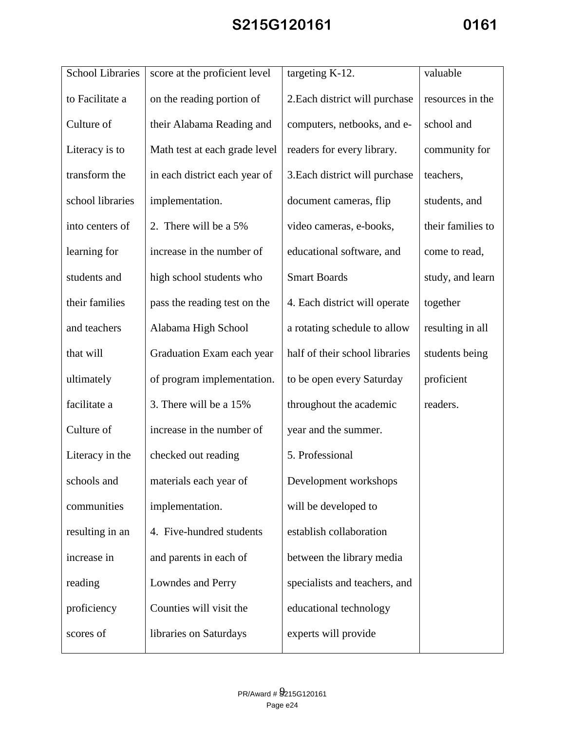| <b>School Libraries</b> | score at the proficient level | targeting K-12.                | valuable          |
|-------------------------|-------------------------------|--------------------------------|-------------------|
| to Facilitate a         | on the reading portion of     | 2. Each district will purchase | resources in the  |
| Culture of              | their Alabama Reading and     | computers, netbooks, and e-    | school and        |
| Literacy is to          | Math test at each grade level | readers for every library.     | community for     |
| transform the           | in each district each year of | 3. Each district will purchase | teachers,         |
| school libraries        | implementation.               | document cameras, flip         | students, and     |
| into centers of         | 2. There will be a 5%         | video cameras, e-books,        | their families to |
| learning for            | increase in the number of     | educational software, and      | come to read,     |
| students and            | high school students who      | <b>Smart Boards</b>            | study, and learn  |
| their families          | pass the reading test on the  | 4. Each district will operate  | together          |
| and teachers            | Alabama High School           | a rotating schedule to allow   | resulting in all  |
| that will               | Graduation Exam each year     | half of their school libraries | students being    |
| ultimately              | of program implementation.    | to be open every Saturday      | proficient        |
| facilitate a            | 3. There will be a 15%        | throughout the academic        | readers.          |
| Culture of              | increase in the number of     | year and the summer.           |                   |
| Literacy in the         | checked out reading           | 5. Professional                |                   |
| schools and             | materials each year of        | Development workshops          |                   |
| communities             | implementation.               | will be developed to           |                   |
| resulting in an         | 4. Five-hundred students      | establish collaboration        |                   |
| increase in             | and parents in each of        | between the library media      |                   |
| reading                 | Lowndes and Perry             | specialists and teachers, and  |                   |
| proficiency             | Counties will visit the       | educational technology         |                   |
| scores of               | libraries on Saturdays        | experts will provide           |                   |
|                         |                               |                                |                   |

Π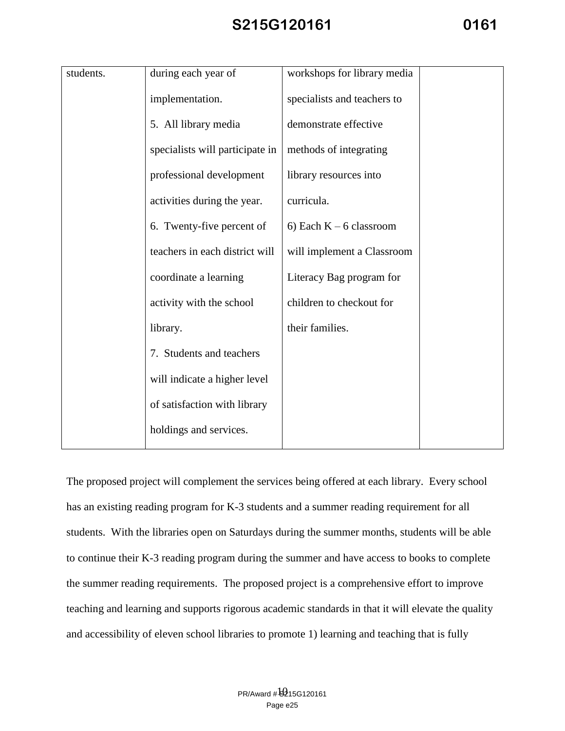| students. | during each year of             | workshops for library media |  |
|-----------|---------------------------------|-----------------------------|--|
|           | implementation.                 | specialists and teachers to |  |
|           | 5. All library media            | demonstrate effective       |  |
|           | specialists will participate in | methods of integrating      |  |
|           | professional development        | library resources into      |  |
|           | activities during the year.     | curricula.                  |  |
|           | 6. Twenty-five percent of       | 6) Each $K - 6$ classroom   |  |
|           | teachers in each district will  | will implement a Classroom  |  |
|           | coordinate a learning           | Literacy Bag program for    |  |
|           | activity with the school        | children to checkout for    |  |
|           | library.                        | their families.             |  |
|           | 7. Students and teachers        |                             |  |
|           | will indicate a higher level    |                             |  |
|           | of satisfaction with library    |                             |  |
|           | holdings and services.          |                             |  |

The proposed project will complement the services being offered at each library. Every school has an existing reading program for K-3 students and a summer reading requirement for all students. With the libraries open on Saturdays during the summer months, students will be able to continue their K-3 reading program during the summer and have access to books to complete the summer reading requirements. The proposed project is a comprehensive effort to improve teaching and learning and supports rigorous academic standards in that it will elevate the quality and accessibility of eleven school libraries to promote 1) learning and teaching that is fully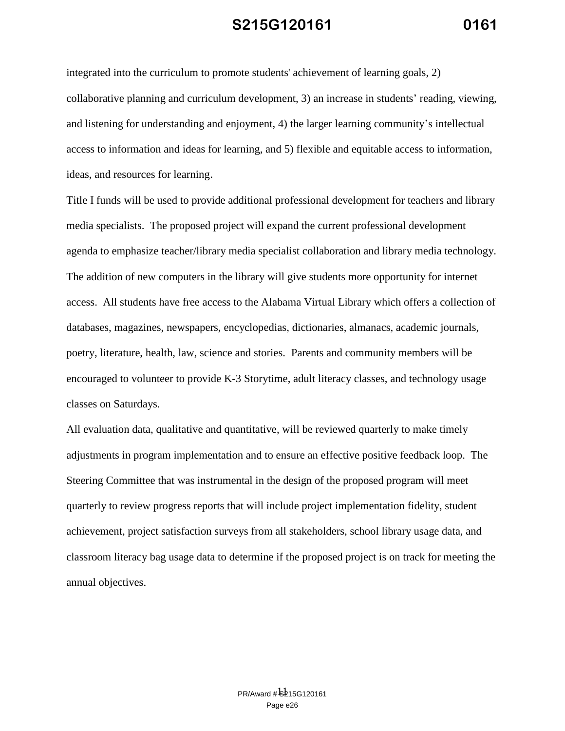integrated into the curriculum to promote students' achievement of learning goals, 2) collaborative planning and curriculum development, 3) an increase in students' reading, viewing, and listening for understanding and enjoyment, 4) the larger learning community's intellectual access to information and ideas for learning, and 5) flexible and equitable access to information, ideas, and resources for learning.

Title I funds will be used to provide additional professional development for teachers and library media specialists. The proposed project will expand the current professional development agenda to emphasize teacher/library media specialist collaboration and library media technology. The addition of new computers in the library will give students more opportunity for internet access. All students have free access to the Alabama Virtual Library which offers a collection of databases, magazines, newspapers, encyclopedias, dictionaries, almanacs, academic journals, poetry, literature, health, law, science and stories. Parents and community members will be encouraged to volunteer to provide K-3 Storytime, adult literacy classes, and technology usage classes on Saturdays.

All evaluation data, qualitative and quantitative, will be reviewed quarterly to make timely adjustments in program implementation and to ensure an effective positive feedback loop. The Steering Committee that was instrumental in the design of the proposed program will meet quarterly to review progress reports that will include project implementation fidelity, student achievement, project satisfaction surveys from all stakeholders, school library usage data, and classroom literacy bag usage data to determine if the proposed project is on track for meeting the annual objectives.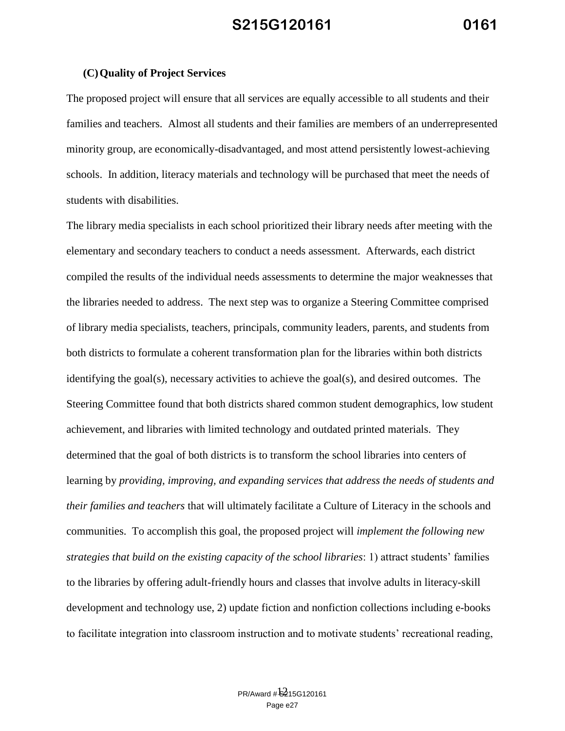#### **(C)Quality of Project Services**

The proposed project will ensure that all services are equally accessible to all students and their families and teachers. Almost all students and their families are members of an underrepresented minority group, are economically-disadvantaged, and most attend persistently lowest-achieving schools. In addition, literacy materials and technology will be purchased that meet the needs of students with disabilities.

The library media specialists in each school prioritized their library needs after meeting with the elementary and secondary teachers to conduct a needs assessment. Afterwards, each district compiled the results of the individual needs assessments to determine the major weaknesses that the libraries needed to address. The next step was to organize a Steering Committee comprised of library media specialists, teachers, principals, community leaders, parents, and students from both districts to formulate a coherent transformation plan for the libraries within both districts identifying the goal(s), necessary activities to achieve the goal(s), and desired outcomes. The Steering Committee found that both districts shared common student demographics, low student achievement, and libraries with limited technology and outdated printed materials. They determined that the goal of both districts is to transform the school libraries into centers of learning by *providing, improving, and expanding services that address the needs of students and their families and teachers* that will ultimately facilitate a Culture of Literacy in the schools and communities. To accomplish this goal, the proposed project will *implement the following new strategies that build on the existing capacity of the school libraries*: 1) attract students' families to the libraries by offering adult-friendly hours and classes that involve adults in literacy-skill development and technology use, 2) update fiction and nonfiction collections including e-books to facilitate integration into classroom instruction and to motivate students' recreational reading,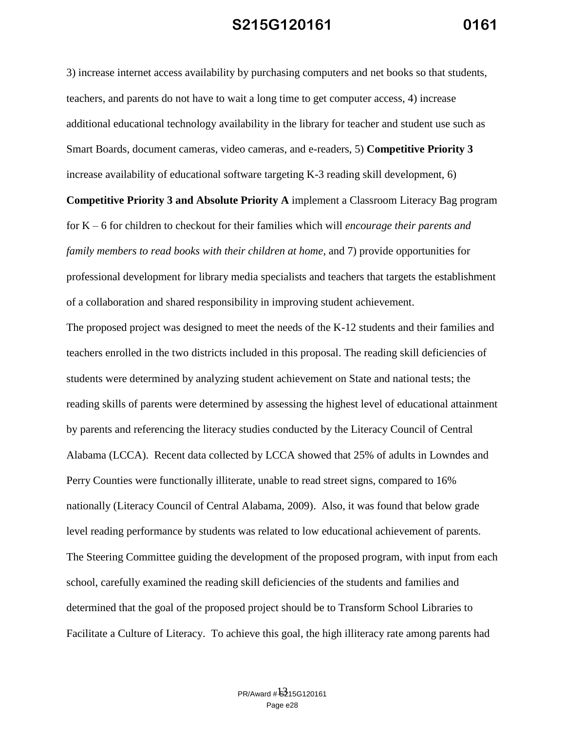3) increase internet access availability by purchasing computers and net books so that students, teachers, and parents do not have to wait a long time to get computer access, 4) increase additional educational technology availability in the library for teacher and student use such as Smart Boards, document cameras, video cameras, and e-readers, 5) **Competitive Priority 3** increase availability of educational software targeting K-3 reading skill development, 6)

**Competitive Priority 3 and Absolute Priority A** implement a Classroom Literacy Bag program for K – 6 for children to checkout for their families which will *encourage their parents and family members to read books with their children at home,* and 7) provide opportunities for professional development for library media specialists and teachers that targets the establishment of a collaboration and shared responsibility in improving student achievement.

The proposed project was designed to meet the needs of the K-12 students and their families and teachers enrolled in the two districts included in this proposal. The reading skill deficiencies of students were determined by analyzing student achievement on State and national tests; the reading skills of parents were determined by assessing the highest level of educational attainment by parents and referencing the literacy studies conducted by the Literacy Council of Central Alabama (LCCA). Recent data collected by LCCA showed that 25% of adults in Lowndes and Perry Counties were functionally illiterate, unable to read street signs, compared to 16% nationally (Literacy Council of Central Alabama, 2009). Also, it was found that below grade level reading performance by students was related to low educational achievement of parents. The Steering Committee guiding the development of the proposed program, with input from each school, carefully examined the reading skill deficiencies of the students and families and determined that the goal of the proposed project should be to Transform School Libraries to Facilitate a Culture of Literacy. To achieve this goal, the high illiteracy rate among parents had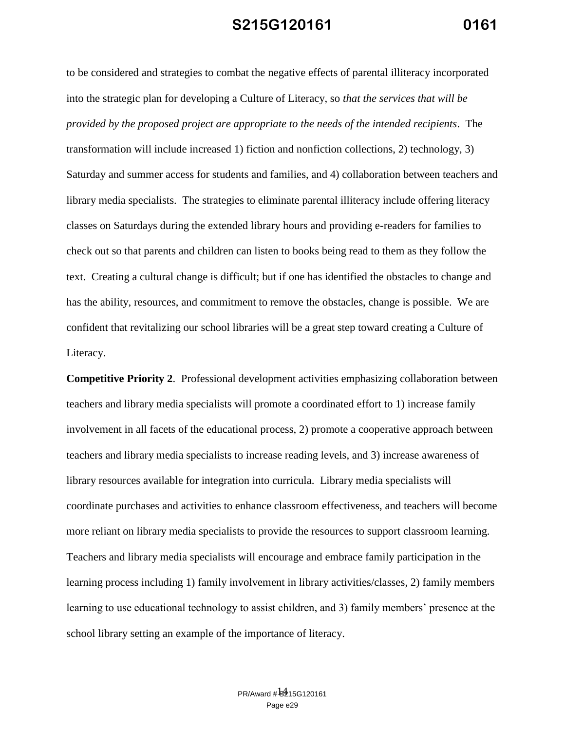to be considered and strategies to combat the negative effects of parental illiteracy incorporated into the strategic plan for developing a Culture of Literacy, so *that the services that will be provided by the proposed project are appropriate to the needs of the intended recipients*. The transformation will include increased 1) fiction and nonfiction collections, 2) technology, 3) Saturday and summer access for students and families, and 4) collaboration between teachers and library media specialists. The strategies to eliminate parental illiteracy include offering literacy classes on Saturdays during the extended library hours and providing e-readers for families to check out so that parents and children can listen to books being read to them as they follow the text. Creating a cultural change is difficult; but if one has identified the obstacles to change and has the ability, resources, and commitment to remove the obstacles, change is possible. We are confident that revitalizing our school libraries will be a great step toward creating a Culture of Literacy.

**Competitive Priority 2**. Professional development activities emphasizing collaboration between teachers and library media specialists will promote a coordinated effort to 1) increase family involvement in all facets of the educational process, 2) promote a cooperative approach between teachers and library media specialists to increase reading levels, and 3) increase awareness of library resources available for integration into curricula. Library media specialists will coordinate purchases and activities to enhance classroom effectiveness, and teachers will become more reliant on library media specialists to provide the resources to support classroom learning. Teachers and library media specialists will encourage and embrace family participation in the learning process including 1) family involvement in library activities/classes, 2) family members learning to use educational technology to assist children, and 3) family members' presence at the school library setting an example of the importance of literacy.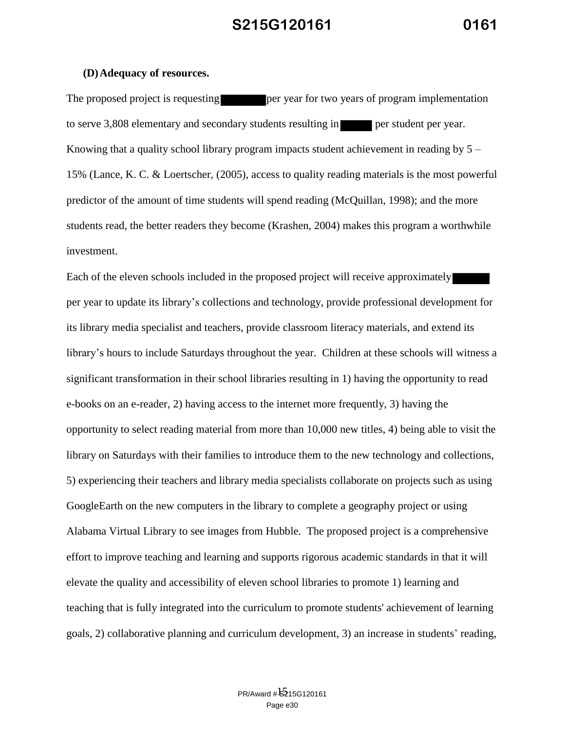#### **(D)Adequacy of resources.**

The proposed project is requesting per year for two years of program implementation to serve 3,808 elementary and secondary students resulting in per student per year. Knowing that a quality school library program impacts student achievement in reading by  $5 -$ 15% (Lance, K. C. & Loertscher, (2005), access to quality reading materials is the most powerful predictor of the amount of time students will spend reading (McQuillan, 1998); and the more students read, the better readers they become (Krashen, 2004) makes this program a worthwhile investment.

Each of the eleven schools included in the proposed project will receive approximately per year to update its library's collections and technology, provide professional development for its library media specialist and teachers, provide classroom literacy materials, and extend its library's hours to include Saturdays throughout the year. Children at these schools will witness a significant transformation in their school libraries resulting in 1) having the opportunity to read e-books on an e-reader, 2) having access to the internet more frequently, 3) having the opportunity to select reading material from more than 10,000 new titles, 4) being able to visit the library on Saturdays with their families to introduce them to the new technology and collections, 5) experiencing their teachers and library media specialists collaborate on projects such as using GoogleEarth on the new computers in the library to complete a geography project or using Alabama Virtual Library to see images from Hubble. The proposed project is a comprehensive effort to improve teaching and learning and supports rigorous academic standards in that it will elevate the quality and accessibility of eleven school libraries to promote 1) learning and teaching that is fully integrated into the curriculum to promote students' achievement of learning goals, 2) collaborative planning and curriculum development, 3) an increase in students' reading,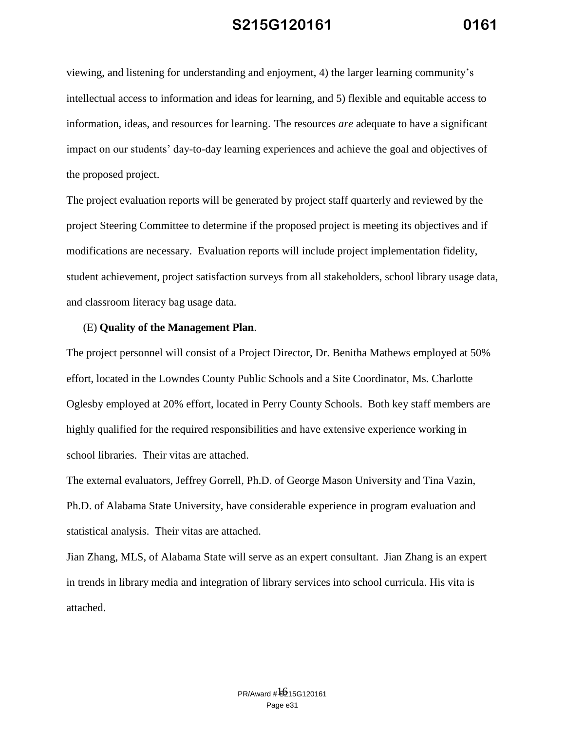viewing, and listening for understanding and enjoyment, 4) the larger learning community's intellectual access to information and ideas for learning, and 5) flexible and equitable access to information, ideas, and resources for learning. The resources *are* adequate to have a significant impact on our students' day-to-day learning experiences and achieve the goal and objectives of the proposed project.

The project evaluation reports will be generated by project staff quarterly and reviewed by the project Steering Committee to determine if the proposed project is meeting its objectives and if modifications are necessary. Evaluation reports will include project implementation fidelity, student achievement, project satisfaction surveys from all stakeholders, school library usage data, and classroom literacy bag usage data.

#### (E) **Quality of the Management Plan**.

The project personnel will consist of a Project Director, Dr. Benitha Mathews employed at 50% effort, located in the Lowndes County Public Schools and a Site Coordinator, Ms. Charlotte Oglesby employed at 20% effort, located in Perry County Schools. Both key staff members are highly qualified for the required responsibilities and have extensive experience working in school libraries. Their vitas are attached.

The external evaluators, Jeffrey Gorrell, Ph.D. of George Mason University and Tina Vazin, Ph.D. of Alabama State University, have considerable experience in program evaluation and statistical analysis. Their vitas are attached.

Jian Zhang, MLS, of Alabama State will serve as an expert consultant. Jian Zhang is an expert in trends in library media and integration of library services into school curricula. His vita is attached.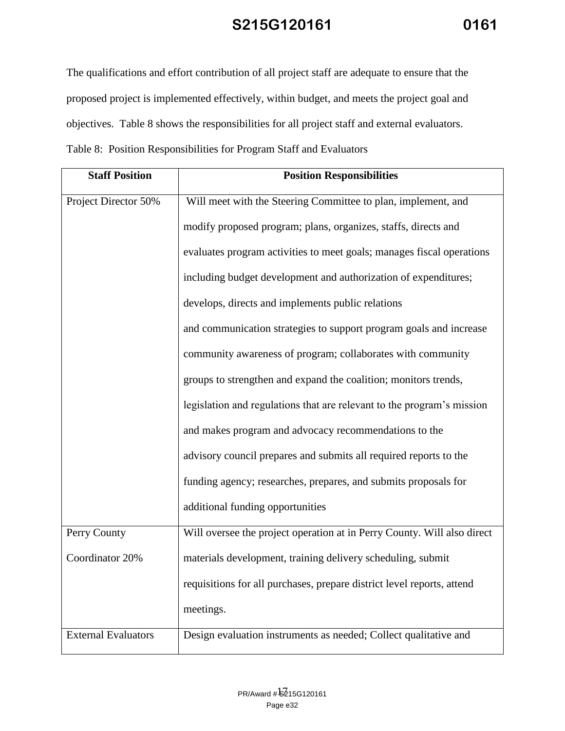The qualifications and effort contribution of all project staff are adequate to ensure that the proposed project is implemented effectively, within budget, and meets the project goal and objectives. Table 8 shows the responsibilities for all project staff and external evaluators. Table 8: Position Responsibilities for Program Staff and Evaluators

| <b>Staff Position</b>      | <b>Position Responsibilities</b>                                        |
|----------------------------|-------------------------------------------------------------------------|
| Project Director 50%       | Will meet with the Steering Committee to plan, implement, and           |
|                            | modify proposed program; plans, organizes, staffs, directs and          |
|                            | evaluates program activities to meet goals; manages fiscal operations   |
|                            | including budget development and authorization of expenditures;         |
|                            | develops, directs and implements public relations                       |
|                            | and communication strategies to support program goals and increase      |
|                            | community awareness of program; collaborates with community             |
|                            | groups to strengthen and expand the coalition; monitors trends,         |
|                            | legislation and regulations that are relevant to the program's mission  |
|                            | and makes program and advocacy recommendations to the                   |
|                            | advisory council prepares and submits all required reports to the       |
|                            | funding agency; researches, prepares, and submits proposals for         |
|                            | additional funding opportunities                                        |
| Perry County               | Will oversee the project operation at in Perry County. Will also direct |
| Coordinator 20%            | materials development, training delivery scheduling, submit             |
|                            | requisitions for all purchases, prepare district level reports, attend  |
|                            | meetings.                                                               |
| <b>External Evaluators</b> | Design evaluation instruments as needed; Collect qualitative and        |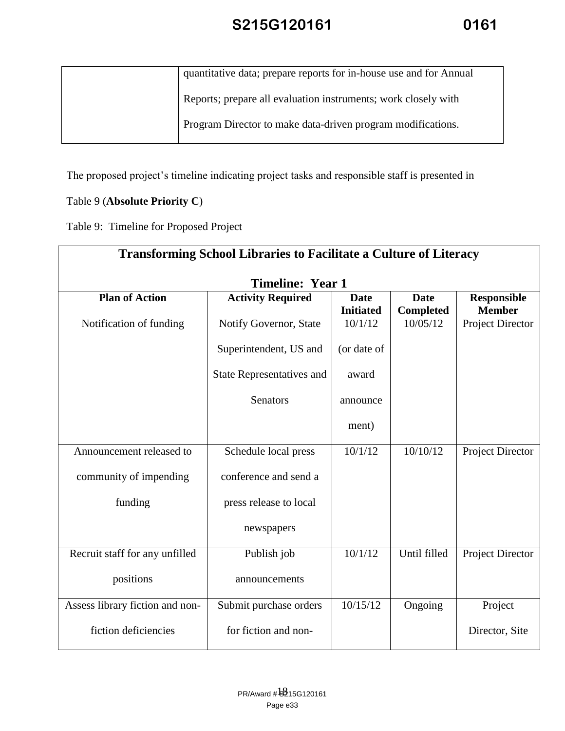| quantitative data; prepare reports for in-house use and for Annual |
|--------------------------------------------------------------------|
| Reports; prepare all evaluation instruments; work closely with     |
| Program Director to make data-driven program modifications.        |
|                                                                    |

The proposed project's timeline indicating project tasks and responsible staff is presented in

### Table 9 (**Absolute Priority C**)

Table 9: Timeline for Proposed Project

| <b>Transforming School Libraries to Facilitate a Culture of Literacy</b> |                                  |                                 |                                 |                                     |
|--------------------------------------------------------------------------|----------------------------------|---------------------------------|---------------------------------|-------------------------------------|
| <b>Timeline: Year 1</b>                                                  |                                  |                                 |                                 |                                     |
| <b>Plan of Action</b>                                                    | <b>Activity Required</b>         | <b>Date</b><br><b>Initiated</b> | <b>Date</b><br><b>Completed</b> | <b>Responsible</b><br><b>Member</b> |
| Notification of funding                                                  | Notify Governor, State           | 10/1/12                         | 10/05/12                        | Project Director                    |
|                                                                          | Superintendent, US and           | (or date of                     |                                 |                                     |
|                                                                          | <b>State Representatives and</b> | award                           |                                 |                                     |
|                                                                          | Senators                         | announce                        |                                 |                                     |
|                                                                          |                                  | ment)                           |                                 |                                     |
| Announcement released to                                                 | Schedule local press             | 10/1/12                         | 10/10/12                        | Project Director                    |
| community of impending                                                   | conference and send a            |                                 |                                 |                                     |
| funding                                                                  | press release to local           |                                 |                                 |                                     |
|                                                                          | newspapers                       |                                 |                                 |                                     |
| Recruit staff for any unfilled                                           | Publish job                      | 10/1/12                         | Until filled                    | Project Director                    |
| positions                                                                | announcements                    |                                 |                                 |                                     |
| Assess library fiction and non-                                          | Submit purchase orders           | 10/15/12                        | Ongoing                         | Project                             |
| fiction deficiencies                                                     | for fiction and non-             |                                 |                                 | Director, Site                      |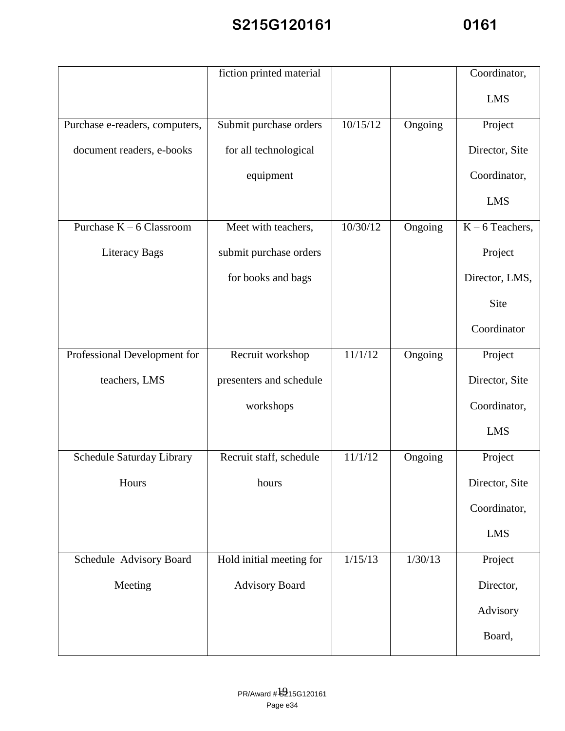|                                | fiction printed material |          |         | Coordinator,      |
|--------------------------------|--------------------------|----------|---------|-------------------|
|                                |                          |          |         | <b>LMS</b>        |
| Purchase e-readers, computers, | Submit purchase orders   | 10/15/12 | Ongoing | Project           |
| document readers, e-books      | for all technological    |          |         | Director, Site    |
|                                | equipment                |          |         | Coordinator,      |
|                                |                          |          |         | <b>LMS</b>        |
| Purchase $K - 6$ Classroom     | Meet with teachers,      | 10/30/12 | Ongoing | $K - 6$ Teachers, |
| Literacy Bags                  | submit purchase orders   |          |         | Project           |
|                                | for books and bags       |          |         | Director, LMS,    |
|                                |                          |          |         | Site              |
|                                |                          |          |         | Coordinator       |
| Professional Development for   | Recruit workshop         | 11/1/12  | Ongoing | Project           |
| teachers, LMS                  | presenters and schedule  |          |         | Director, Site    |
|                                | workshops                |          |         | Coordinator,      |
|                                |                          |          |         | <b>LMS</b>        |
| Schedule Saturday Library      | Recruit staff, schedule  | 11/1/12  | Ongoing | Project           |
| Hours                          | hours                    |          |         | Director, Site    |
|                                |                          |          |         | Coordinator,      |
|                                |                          |          |         | <b>LMS</b>        |
| Schedule Advisory Board        | Hold initial meeting for | 1/15/13  | 1/30/13 | Project           |
| Meeting                        | <b>Advisory Board</b>    |          |         | Director,         |
|                                |                          |          |         | Advisory          |
|                                |                          |          |         | Board,            |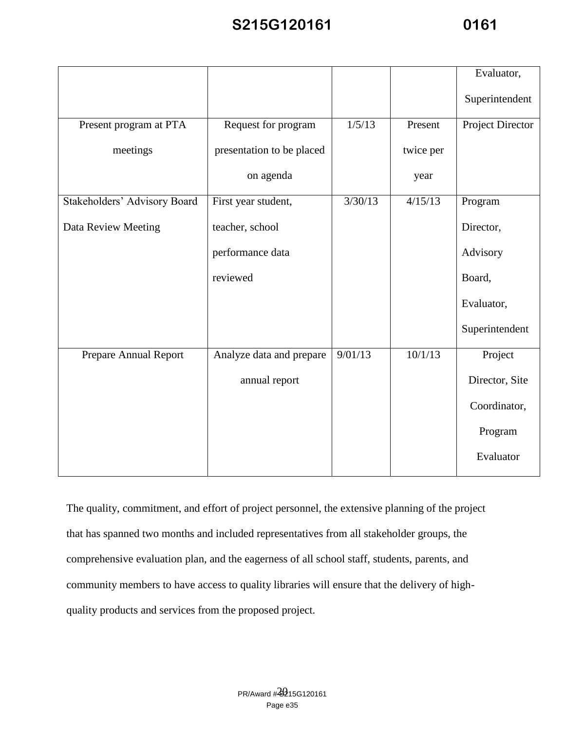|                              |                           |         |           | Evaluator,       |
|------------------------------|---------------------------|---------|-----------|------------------|
|                              |                           |         |           | Superintendent   |
| Present program at PTA       | Request for program       | 1/5/13  | Present   | Project Director |
| meetings                     | presentation to be placed |         | twice per |                  |
|                              | on agenda                 |         | year      |                  |
| Stakeholders' Advisory Board | First year student,       | 3/30/13 | 4/15/13   | Program          |
| Data Review Meeting          | teacher, school           |         |           | Director,        |
|                              | performance data          |         |           | Advisory         |
|                              | reviewed                  |         |           | Board,           |
|                              |                           |         |           | Evaluator,       |
|                              |                           |         |           | Superintendent   |
| Prepare Annual Report        | Analyze data and prepare  | 9/01/13 | 10/1/13   | Project          |
|                              | annual report             |         |           | Director, Site   |
|                              |                           |         |           | Coordinator,     |
|                              |                           |         |           | Program          |
|                              |                           |         |           | Evaluator        |

The quality, commitment, and effort of project personnel, the extensive planning of the project that has spanned two months and included representatives from all stakeholder groups, the comprehensive evaluation plan, and the eagerness of all school staff, students, parents, and community members to have access to quality libraries will ensure that the delivery of highquality products and services from the proposed project.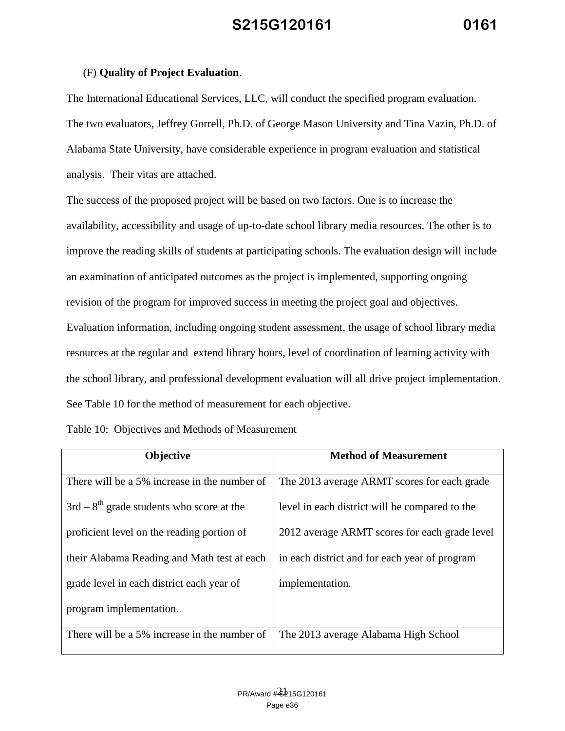#### (F) **Quality of Project Evaluation**.

The International Educational Services, LLC, will conduct the specified program evaluation. The two evaluators, Jeffrey Gorrell, Ph.D. of George Mason University and Tina Vazin, Ph.D. of Alabama State University, have considerable experience in program evaluation and statistical analysis. Their vitas are attached.

The success of the proposed project will be based on two factors. One is to increase the availability, accessibility and usage of up-to-date school library media resources. The other is to improve the reading skills of students at participating schools. The evaluation design will include an examination of anticipated outcomes as the project is implemented, supporting ongoing revision of the program for improved success in meeting the project goal and objectives. Evaluation information, including ongoing student assessment, the usage of school library media resources at the regular and extend library hours, level of coordination of learning activity with the school library, and professional development evaluation will all drive project implementation. See Table 10 for the method of measurement for each objective.

#### Table 10: Objectives and Methods of Measurement

| Objective                                    | <b>Method of Measurement</b>                   |
|----------------------------------------------|------------------------------------------------|
| There will be a 5% increase in the number of | The 2013 average ARMT scores for each grade    |
| $3rd - 8th$ grade students who score at the  | level in each district will be compared to the |
| proficient level on the reading portion of   | 2012 average ARMT scores for each grade level  |
| their Alabama Reading and Math test at each  | in each district and for each year of program  |
| grade level in each district each year of    | implementation.                                |
| program implementation.                      |                                                |
| There will be a 5% increase in the number of | The 2013 average Alabama High School           |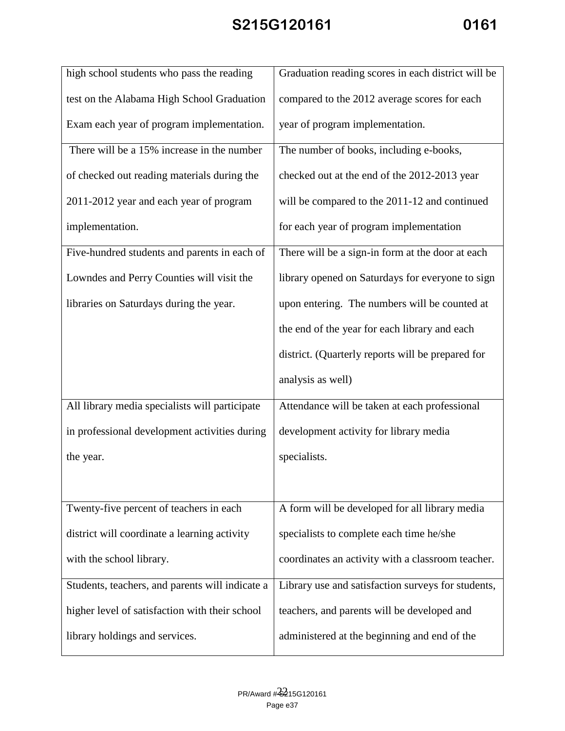| high school students who pass the reading       | Graduation reading scores in each district will be |
|-------------------------------------------------|----------------------------------------------------|
| test on the Alabama High School Graduation      | compared to the 2012 average scores for each       |
| Exam each year of program implementation.       | year of program implementation.                    |
| There will be a 15% increase in the number      | The number of books, including e-books,            |
| of checked out reading materials during the     | checked out at the end of the 2012-2013 year       |
| 2011-2012 year and each year of program         | will be compared to the 2011-12 and continued      |
| implementation.                                 | for each year of program implementation            |
| Five-hundred students and parents in each of    | There will be a sign-in form at the door at each   |
| Lowndes and Perry Counties will visit the       | library opened on Saturdays for everyone to sign   |
| libraries on Saturdays during the year.         | upon entering. The numbers will be counted at      |
|                                                 | the end of the year for each library and each      |
|                                                 | district. (Quarterly reports will be prepared for  |
|                                                 | analysis as well)                                  |
| All library media specialists will participate  | Attendance will be taken at each professional      |
| in professional development activities during   | development activity for library media             |
| the year.                                       | specialists.                                       |
|                                                 |                                                    |
| Twenty-five percent of teachers in each         | A form will be developed for all library media     |
| district will coordinate a learning activity    | specialists to complete each time he/she           |
| with the school library.                        | coordinates an activity with a classroom teacher.  |
| Students, teachers, and parents will indicate a | Library use and satisfaction surveys for students, |
| higher level of satisfaction with their school  | teachers, and parents will be developed and        |
| library holdings and services.                  | administered at the beginning and end of the       |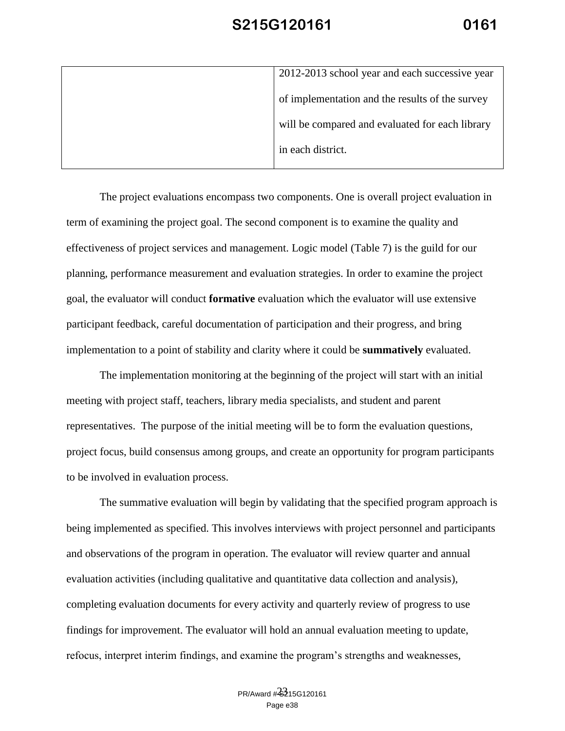| 2012-2013 school year and each successive year  |
|-------------------------------------------------|
| of implementation and the results of the survey |
| will be compared and evaluated for each library |
| in each district.                               |
|                                                 |

The project evaluations encompass two components. One is overall project evaluation in term of examining the project goal. The second component is to examine the quality and effectiveness of project services and management. Logic model (Table 7) is the guild for our planning, performance measurement and evaluation strategies. In order to examine the project goal, the evaluator will conduct **formative** evaluation which the evaluator will use extensive participant feedback, careful documentation of participation and their progress, and bring implementation to a point of stability and clarity where it could be **summatively** evaluated.

The implementation monitoring at the beginning of the project will start with an initial meeting with project staff, teachers, library media specialists, and student and parent representatives. The purpose of the initial meeting will be to form the evaluation questions, project focus, build consensus among groups, and create an opportunity for program participants to be involved in evaluation process.

The summative evaluation will begin by validating that the specified program approach is being implemented as specified. This involves interviews with project personnel and participants and observations of the program in operation. The evaluator will review quarter and annual evaluation activities (including qualitative and quantitative data collection and analysis), completing evaluation documents for every activity and quarterly review of progress to use findings for improvement. The evaluator will hold an annual evaluation meeting to update, refocus, interpret interim findings, and examine the program's strengths and weaknesses,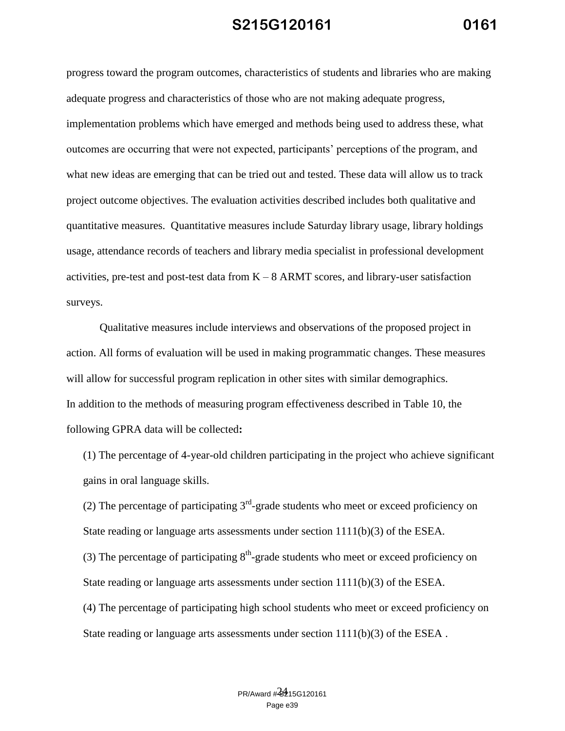progress toward the program outcomes, characteristics of students and libraries who are making adequate progress and characteristics of those who are not making adequate progress, implementation problems which have emerged and methods being used to address these, what outcomes are occurring that were not expected, participants' perceptions of the program, and what new ideas are emerging that can be tried out and tested. These data will allow us to track project outcome objectives. The evaluation activities described includes both qualitative and quantitative measures. Quantitative measures include Saturday library usage, library holdings usage, attendance records of teachers and library media specialist in professional development activities, pre-test and post-test data from  $K - 8$  ARMT scores, and library-user satisfaction surveys.

Qualitative measures include interviews and observations of the proposed project in action. All forms of evaluation will be used in making programmatic changes. These measures will allow for successful program replication in other sites with similar demographics. In addition to the methods of measuring program effectiveness described in Table 10, the following GPRA data will be collected**:**

(1) The percentage of 4-year-old children participating in the project who achieve significant gains in oral language skills.

(2) The percentage of participating  $3<sup>rd</sup>$ -grade students who meet or exceed proficiency on State reading or language arts assessments under section  $1111(b)(3)$  of the ESEA.

(3) The percentage of participating  $8<sup>th</sup>$ -grade students who meet or exceed proficiency on State reading or language arts assessments under section  $1111(b)(3)$  of the ESEA.

(4) The percentage of participating high school students who meet or exceed proficiency on State reading or language arts assessments under section  $1111(b)(3)$  of the ESEA.